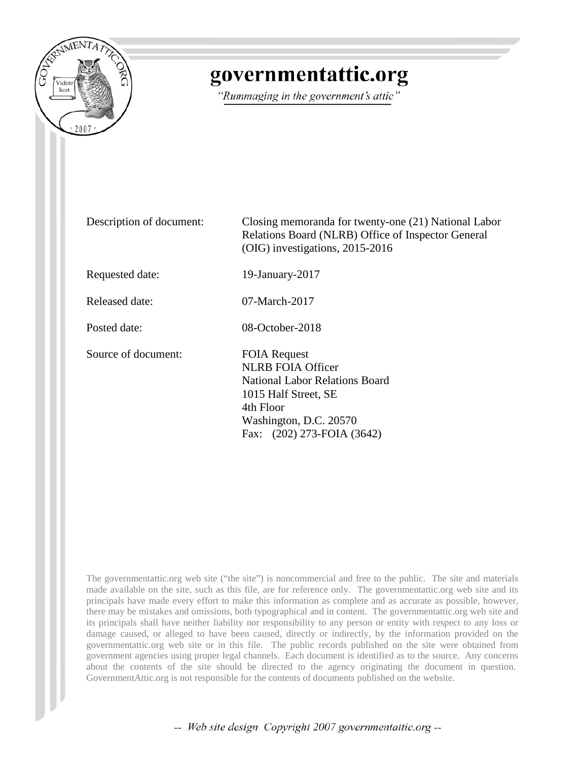

# governmentattic.org

"Rummaging in the government's attic"

Description of document: Closing memoranda for twenty-one (21) National Labor Relations Board (NLRB) Office of Inspector General (OIG) investigations, 2015-2016 Requested date: 19-January-2017 Released date: 07-March-2017 Posted date: 08-October-2018 Source of document: FOIA Request NLRB FOIA Officer National Labor Relations Board 1015 Half Street, SE 4th Floor Washington, D.C. 20570 Fax: (202) 273-FOIA (3642)

The governmentattic.org web site ("the site") is noncommercial and free to the public. The site and materials made available on the site, such as this file, are for reference only. The governmentattic.org web site and its principals have made every effort to make this information as complete and as accurate as possible, however, there may be mistakes and omissions, both typographical and in content. The governmentattic.org web site and its principals shall have neither liability nor responsibility to any person or entity with respect to any loss or damage caused, or alleged to have been caused, directly or indirectly, by the information provided on the governmentattic.org web site or in this file. The public records published on the site were obtained from government agencies using proper legal channels. Each document is identified as to the source. Any concerns about the contents of the site should be directed to the agency originating the document in question. GovernmentAttic.org is not responsible for the contents of documents published on the website.

-- Web site design Copyright 2007 governmentattic.org --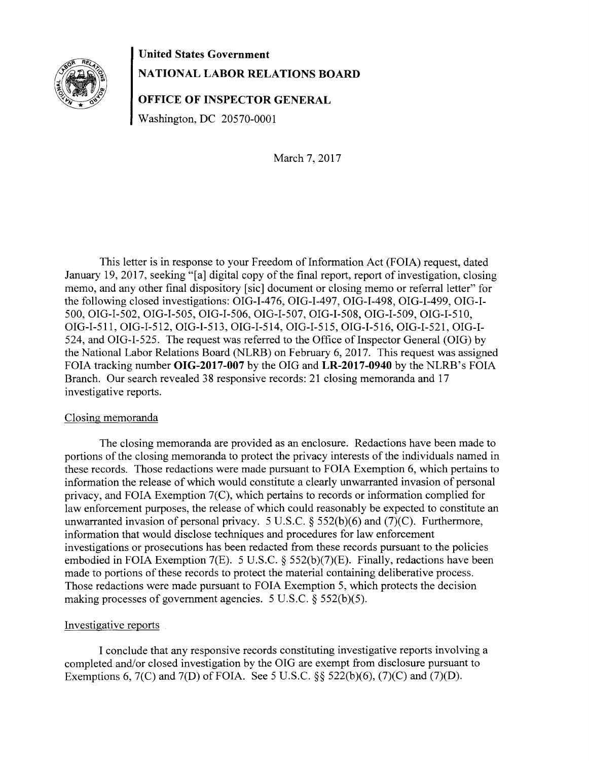

# **United States Government NATIONAL LABOR RELATIONS BOARD**

**OFFICE OF INSPECTOR GENERAL** 

Washington, DC 20570-0001

March 7, 2017

This letter is in response to your Freedom of Information Act (FOIA) request, dated January 19, 2017, seeking "[a] digital copy of the final report, report of investigation, closing memo, and any other final dispository [sic] document or closing memo or referral letter" for the following closed investigations: OIG-1-476, OIG-1-497, OIG-1-498, OIG-1-499, OIG-1- 500, OIG-1-502, OIG-1-505, OIG-1-506, OIG-1-507, OIG-1-508, OIG-1-509, OIG-1-510, OIG-1-511, OIG-1-512, OIG-1-513, OIG-1-514, OIG-1-515, OIG-1-516, OIG-1-521, OIG-1-  $524$ , and OIG-I-525. The request was referred to the Office of Inspector General (OIG) by the National Labor Relations Board (NLRB) on February 6, 2017. This request was assigned FOIA tracking number **OIG-2017-007** by the OIG and **LR-2017-0940** by the NLRB's FOIA Branch. Our search revealed 38 responsive records: 21 closing memoranda and 17 investigative reports.

# Closing memoranda

The closing memoranda are provided as an enclosure. Redactions have been made to portions of the closing memoranda to protect the privacy interests of the individuals named in these records. Those redactions were made pursuant to FOIA Exemption 6, which pertains to information the release of which would constitute a clearly unwarranted invasion of personal privacy, and FOIA Exemption 7(C), which pertains to records or information complied for law enforcement purposes, the release of which could reasonably be expected to constitute an unwarranted invasion of personal privacy. 5 U.S.C. § 552(b)(6) and (7)(C). Furthermore, information that would disclose techniques and procedures for law enforcement investigations or prosecutions has been redacted from these records pursuant to the policies embodied in FOIA Exemption 7(E). 5 U.S.C.  $\S$  552(b)(7)(E). Finally, redactions have been made to portions of these records to protect the material containing deliberative process. Those redactions were made pursuant to FOIA Exemption 5, which protects the decision making processes of government agencies. 5 U.S.C.  $\S$  552(b)(5).

# Investigative reports

I conclude that any responsive records constituting investigative reports involving a completed and/or closed investigation by the OIG are exempt from disclosure pursuant to Exemptions 6, 7(C) and 7(D) of FOIA. See 5 U.S.C. §§ 522(b)(6), (7)(C) and (7)(D).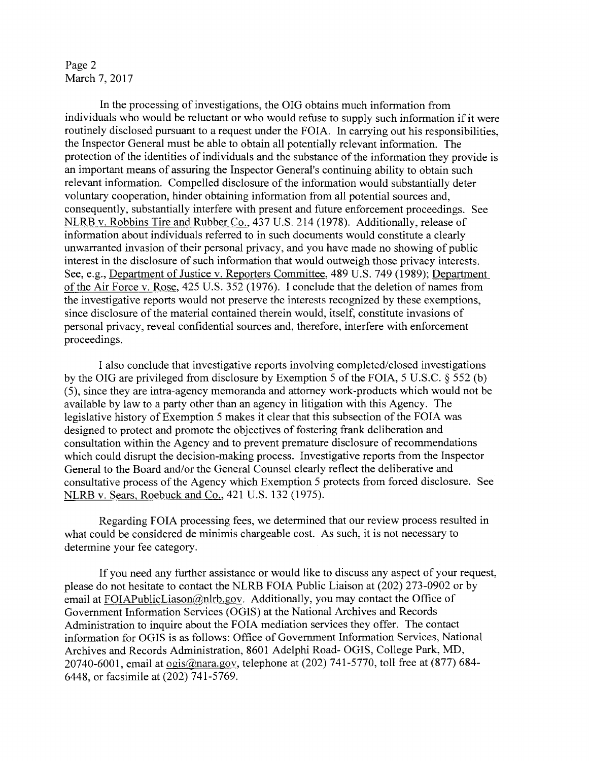# Page 2 March 7, 2017

In the processing of investigations, the OIG obtains much information from individuals who would be reluctant or who would refuse to supply such information if it were routinely disclosed pursuant to a request under the FOIA. In carrying out his responsibilities, the Inspector General must be able to obtain all potentially relevant information. The protection of the identities of individuals and the substance of the information they provide is an important means of assuring the Inspector General's continuing ability to obtain such relevant information. Compelled disclosure of the information would substantially deter voluntary cooperation, hinder obtaining information from all potential sources and, consequently, substantially interfere with present and future enforcement proceedings. See NLRB v. Robbins Tire and Rubber Co., 437 U.S. 214 (1978). Additionally, release of information about individuals referred to in such documents would constitute a clearly unwarranted invasion of their personal privacy, and you have made no showing of public interest in the disclosure of such information that would outweigh those privacy interests. See, e.g., Department of Justice v. Reporters Committee, 489 U.S. 749 (1989); Department of the Air Force v. Rose, 425 U.S. 352 (1976). I conclude that the deletion of names from the investigative reports would not preserve the interests recognized by these exemptions, since disclosure of the material contained therein would, itself, constitute invasions of personal privacy, reveal confidential sources and, therefore, interfere with enforcement proceedings.

I also conclude that investigative reports involving completed/closed investigations by the OIG are privileged from disclosure by Exemption 5 of the FOIA, 5 U.S.C. § 552 (b) (5), since they are intra-agency memoranda and attorney work-products which would not be available by law to a party other than an agency in litigation with this Agency. The legislative history of Exemption 5 makes it clear that this subsection of the FOIA was designed to protect and promote the objectives of fostering frank deliberation and consultation within the Agency and to prevent premature disclosure of recommendations which could disrupt the decision-making process. Investigative reports from the Inspector General to the Board and/or the General Counsel clearly reflect the deliberative and consultative process of the Agency which Exemption 5 protects from forced disclosure. See NLRB v. Sears, Roebuck and Co., 421 U.S. 132 (1975).

Regarding FOIA processing fees, we determined that our review process resulted in what could be considered de minimis chargeable cost. As such, it is not necessary to determine your fee category.

If you need any further assistance or would like to discuss any aspect of your request, please do not hesitate to contact the NLRB FOIA Public Liaison at (202) 273-0902 or by email at FOIAPublicLiason@nlrb.gov. Additionally, you may contact the Office of Government Information Services (OGIS) at the National Archives and Records Administration to inquire about the FOIA mediation services they offer. The contact information for OGIS is as follows: Office of Government Information Services, National Archives and Records Administration, 8601 Adelphi Road- OGIS, College Park, MD, 20740-6001, email at  $\underline{\text{ogis}}(\overline{a})$ nara.gov, telephone at (202) 741-5770, toll free at (877) 684-6448, or facsimile at (202) 741-5769.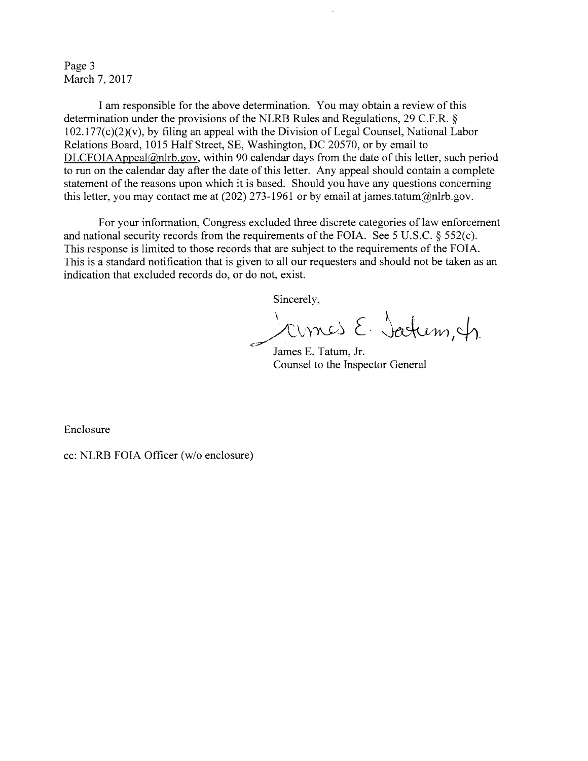Page 3 March 7, 2017

I am responsible for the above determination. You may obtain a review of this determination under the provisions of the NLRB Rules and Regulations, 29 C.F.R. §  $102.177(c)(2)(v)$ , by filing an appeal with the Division of Legal Counsel, National Labor Relations Board, 1015 Half Street, SE, Washington, DC 20570, or by email to DLCFOIAAppeal@nlrb.gov, within 90 calendar days from the date of this letter, such period to run on the calendar day after the date of this letter. Any appeal should contain a complete statement of the reasons upon which it is based. Should you have any questions concerning this letter, you may contact me at  $(202)$  273-1961 or by email at james.tatum@nlrb.gov.

For your information, Congress excluded three discrete categories of law enforcement and national security records from the requirements of the FOIA. See 5 U.S.C. § 552(c). This response is limited to those records that are subject to the requirements of the FOIA. This is a standard notification that is given to all our requesters and should not be taken as an indication that excluded records do, or do not, exist.

Sincerely,

 $\frac{1}{\sqrt{C_v}}$   $\frac{1}{\sqrt{C_v}}$   $\frac{1}{\sqrt{C_v}}$   $\frac{1}{\sqrt{C_v}}$ 

James E. Tatum, Jr. Counsel to the Inspector General

Enclosure

cc: NLRB FOIA Officer (w/o enclosure)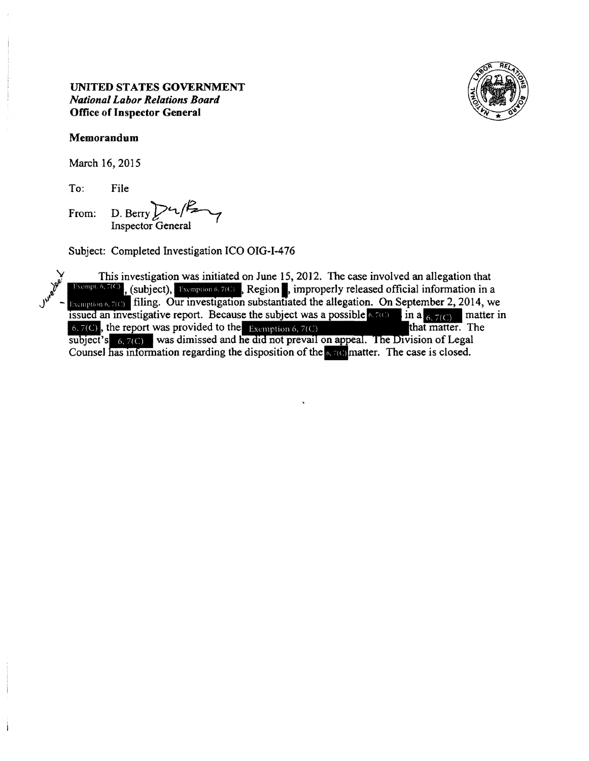

March 16, 2015

To: File

From: D. Berry  $\sum L \cdot L / \sum$ Inspector General

Subject: Completed Investigation ICO OIG-1-476

This investigation was initiated on June 15, 2012. The case involved an allegation that  $\frac{1 \text{Riempton}}{1 \text{Siempton}}$ , (subject),  $\frac{1 \text{Riempton}}{1 \text{Siempton}}$ , improperly released official information in a Examption 6, 7(C) filing. Our investigation substantiated the allegation. On September 2, 2014, we issued an investigative report. Because the subject was a possible 6, 7(C) in a  $\frac{6}{6}$ , 7(C), the report was provided t Exemption 6, 7(C) filling. Our investigation substantiated the allegation. On September 2, 2014, we issued an investigative report. Because the subject was a possible 6.7(C) in a  $\frac{1}{6}$ , 7(C) matter in 6, 7(C), the rep subject's  $\frac{6}{7}$ (C) was dimissed and he did not prevail on appeal. The Division of Legal Counsel has information regarding the disposition of the  $\frac{6}{7}$ (C) matter. The case is closed.

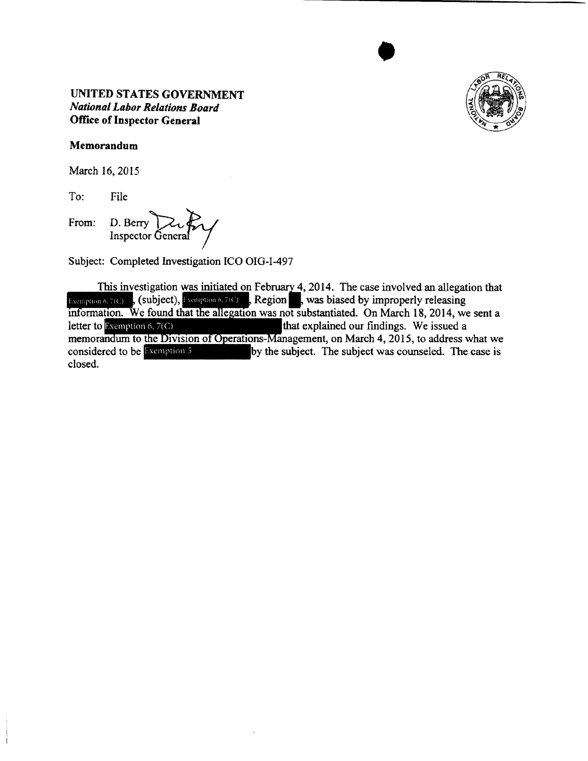

•

#### **Memorandum**

March 16, 2015

To: File

From: D. Berry  $\sum_{\text{L}}$ 

Subject: Completed Investigation ICO OIG-I-497

This investigation was initiated on February 4, 2014. The case involved an allegation that Exemption 6, 7(C), (subject), Exemption 6, 7(C), Region, was biased by improperly releasing information. We found that the allegation was not substantiated. On March 18, 2014, we sent a **letter to Exemption 6, 7(C)** that explained our findings. We issued a memorandum to the Division of Operations-Management, on March 4, 2015, to address what we considered to be Exemption 5 by the subject. The subject was counseled. The case is closed.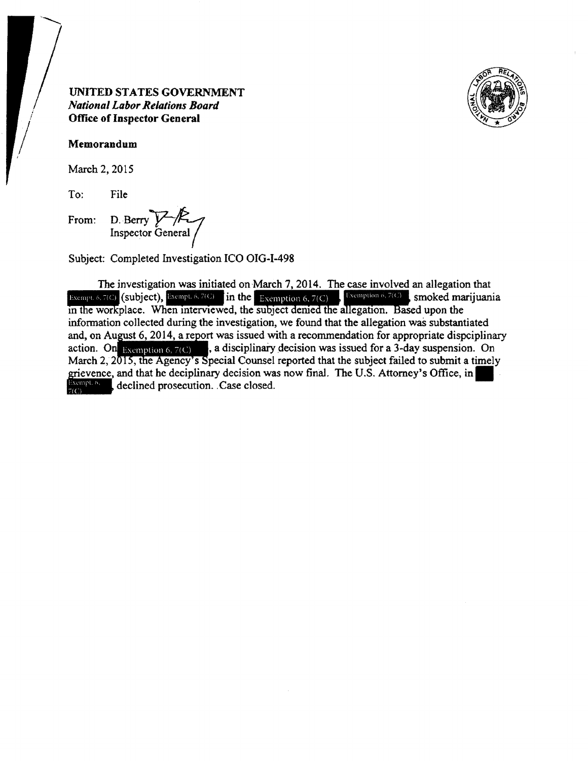

#### Memorandum

March 2, 2015

To: File

From:

D. Berry VAC

Subject: Completed Investigation ICO OIG-I-498

The investigation was initiated on March 7, 2014. The case involved an allegation that Exempt 6, 7(C) (subject), Exempt 6, 7(C) in the Exemption 6, 7(C) Sexemption 6, 7(C) smoked marijuania in the workplace. When interviewed, the subject denied the allegation. Based upon the information collected during the investigation, we found that the allegation was substantiated and, on August 6, 2014, a report was issued with a recommendation for appropriate dispciplinary , a disciplinary decision was issued for a 3-day suspension. On action. On Exemption 6,  $7(C)$ March 2, 2015, the Agency's Special Counsel reported that the subject failed to submit a timely grievence, and that he deciplinary decision was now final. The U.S. Attorney's Office, in Exempt. 6,<br>F(C) declined prosecution. Case closed.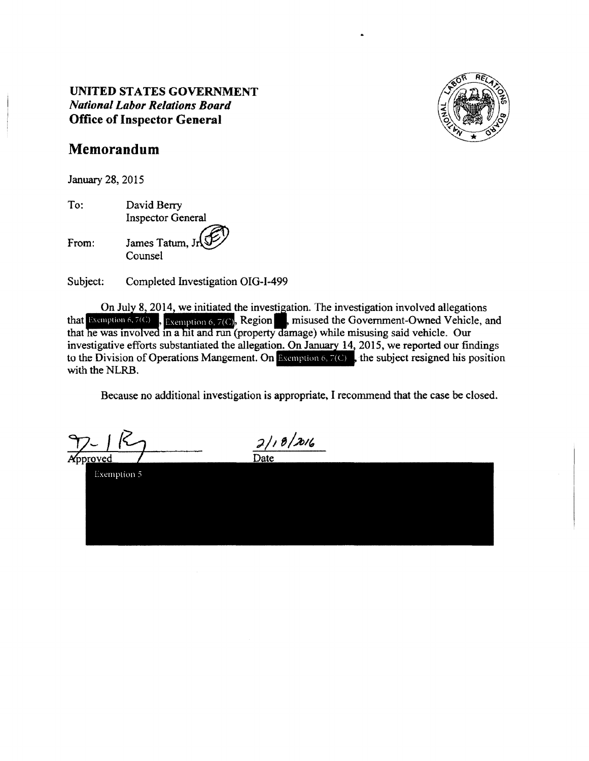

# **Memorandum**

January 28, 2015

To: David Berry Inspector General

From:

James Tatum, Jr Counsel

Subject: Completed Investigation OIG-I-499

On July 8, 2014, we initiated the investigation. The investigation involved allegations On July 8, 2014, we initiated the investigation. The investigation involved allegations that Exemption 6, 7(C). **Region**, misused the Government-Owned Vehicle, and that he was involved in a hit and run (property damage) while misusing said vehicle. Our investigative efforts substantiated the allegation. On January  $14$ , 2015, we reported our findings to the Division of Operations Mangement. On **Examption 6, 7(C)**, the subject resigned his position with the NLRB.

Because no additional investigation is appropriate, I recommend that the case be closed.

Exemption 5

 $2/18/2016$ Date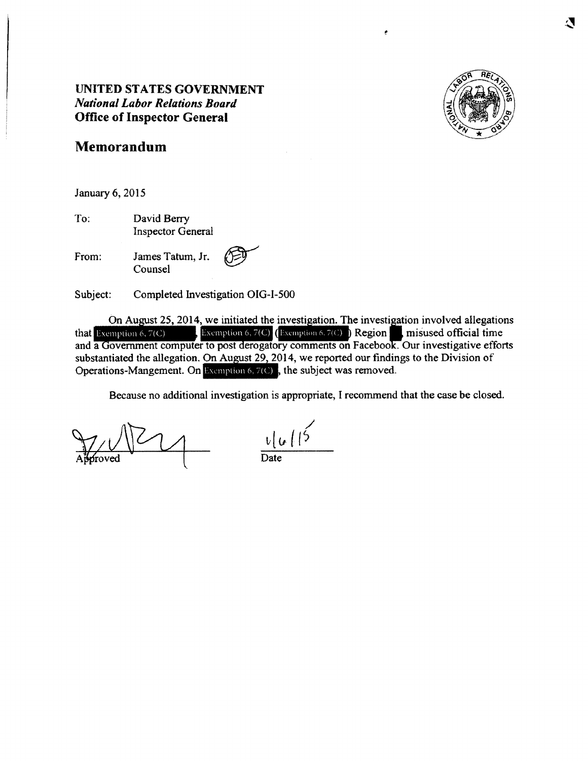

# **Memorandum**

January 6, 2015

To: David Berry Inspector General

From: James Tatum, Jr. Counsel  $\circledcirc$ 

Subject: Completed Investigation OIG-1-500

On August 25, 2014, we initiated the investigation. The investigation involved allegations Exemption 6, 7(C) (Exemption 6, 7(C)) Region misused official time that Exemption 6, 7(C) and a Government computer to post derogatory comments on Facebook. Our investigative efforts substantiated the allegation. On August 29, 2014, we reported our findings to the Division of Operations-Mangement. On Exemption 6, 7(C), the subject was removed.

 $\frac{1}{\text{Date}}$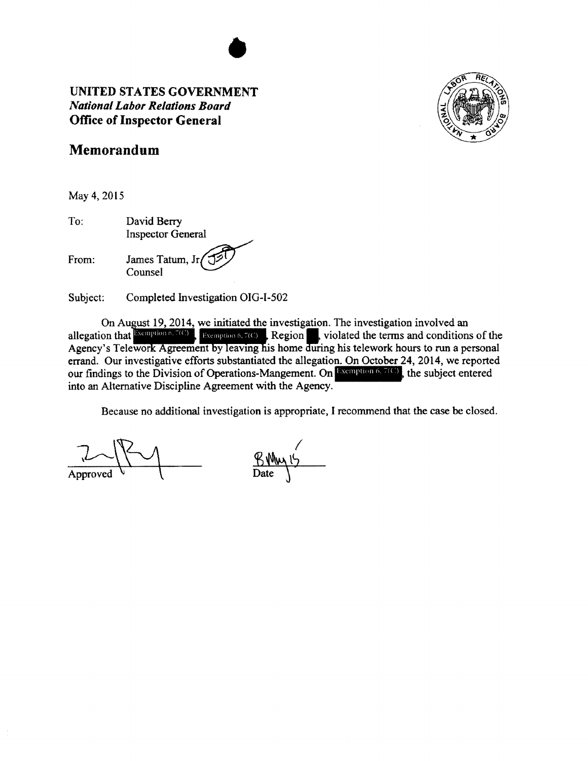

# **Memorandum**

May 4, 2015

To: From: David Berry Inspector General James Tatum,  $Jr$ Counsel

Subject: Completed Investigation OIG-I-502

On August 19, 2014, we initiated the investigation. The investigation involved an allegation that **Exemption 6.7(C)**, Exemption 6.7(C) Region violated the terms and conditions of the Agency's Telework Agreement by leaving his home during his telework hours to run a personal errand. Our investigative efforts substantiated the allegation. On October 24, 2014, we reported our findings to the Division of Operations-Mangement. On  $\blacksquare$  Comption 6,  $\bar{\tau}(C)$ , the subject entered into an Alternative Discipline Agreement with the Agency.

 $\n <sup>Q</sup>\n <sup>Q</sup>\n <sup>Q</sup>\n <sup>Q</sup>\n <sup>Q</sup>\n <sup>Q</sup>\n <sup>Q</sup>\n <sup>Q</sup>\n <sup>Q</sup>\n <sup>Q</sup>\n <sup>Q</sup>\n <sup>Q</sup>\n <sup>Q</sup>\n <sup>Q</sup>\n <sup>Q</sup>\n <sup>Q</sup>\n <sup>Q</sup>\n <sup>Q</sup>\n <sup>Q</sup>\n <sup>Q</sup>\n <sup>Q</sup>\n <sup>Q</sup>\n <sup>Q</sup>\n <sup>Q</sup>\n$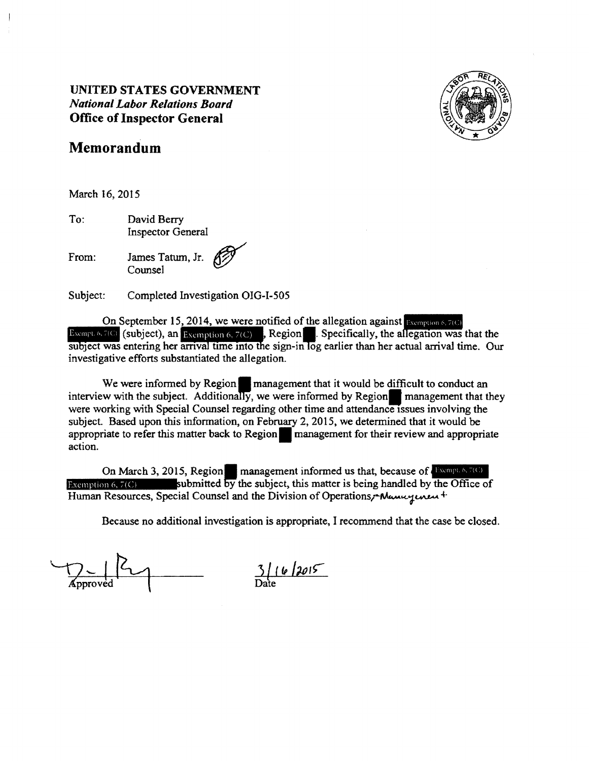

# **Memorandum**

March 16, 2015

To: David Berry Inspector General

From: James Tatum, Jr. Counsel

Subject: Completed Investigation OIG-I-505

On September 15, 2014, we were notified of the allegation against **Exemption 6, 7(C)**<br>Exemption 6, 7(C) i, Region<sup>8</sup>. Specifically, the allegation was that the subject was entering her arrival time into the sign-in  $\overline{\log}$  earlier than her actual arrival time. Our investigative efforts substantiated the allegation.

We were informed by Region  $\blacksquare$  management that it would be difficult to conduct an interview with the subject. Additionally, we were informed by Region<sup>n</sup> management that they were working with Special Counsel regarding other time and attendance issues involving the were working with special counser regarding other thire and attendance issues involving the subject. Based upon this information, on February 2, 2015, we determined that it would be appropriate to refer this matter back to action.

Exemption 6, 7(C) submitted by the subject, this matter is being handled by the Office of On March 3, 2015, Region management informed us that, because of *Exemple 6, 7(C)* Human Resources, Special Counsel and the Division of Operations,-Manuyunut

Approved 2

 $3116/2015$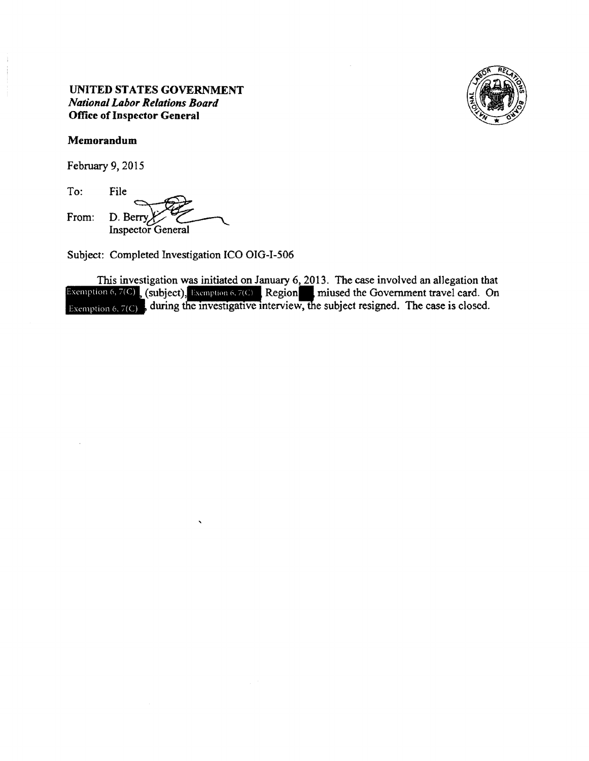

#### Memorandum

February 9, 2015

To: File From: D. Berry **Inspector General** 

Subject: Completed Investigation ICO OIG-I-506

This investigation was initiated on January 6, 2013. The case involved an allegation that Exemption 6,  $7(C)$ , (subject), Exemption 6,  $7(C)$ , Region miused the Government travel card. On<br>Exemption 6,  $7(C)$ , during the investigative interview, the subject resigned. The case is closed.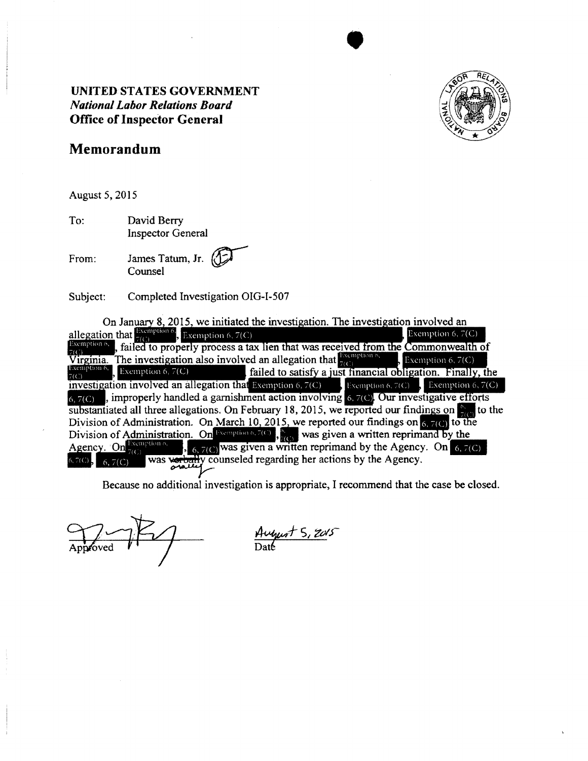

•

# **Memorandum**

August 5, 2015

To: David Berry Inspector General

From: Iames Tatum, Jr. Counsel

Subject: Completed Investigation OIG-I-507

On January 8, 2015, we initiated the investigation. The investigation involved an allegation that  $\frac{\text{Exemption 6}}{7(C)}$ , Exemption 6, 7(C) Exemption 6,  $7(C)$ , failed to properly process a tax lien that was received from the Commonwealth of Virginia. The investigation also involved an allegation that  $\frac{1}{2}$ Exemption 6, 7(C) Exemption 6, 7(C) failed to satisfy a just financial obligation. Finally, the investigation involved an allegation that Exemption 6,  $7(C)$ Exemption 6, 7(C)  $\frac{1}{2}$  Exemption 6, 7(C)  $_{6.7(C)}$ , improperly handled a garnishment action involving  $_{6.7(C)}$ . Our investigative efforts substantiated all three allegations. On February 18, 2015, we reported our findings on  $\mathbb{S}_{\mathbb{Z}}$  to the Division of Administration. On March 10, 2015, we reported our findings on  $\frac{1}{6}$ ,  $7(6)$  to the Division of Administration. On Exemption 6.7(6), was given a written reprimand by the Agency. On Exemption 6,  $\frac{1}{2}$ ,  $\frac{1}{6}$ ,  $7(C)$  was given a written reprimand by the Agency. On 6, 7(C) was verbally counseled regarding her actions by the Agency.  $5,7(C)$ .  $6, 7(C)$ 

August 5, 2015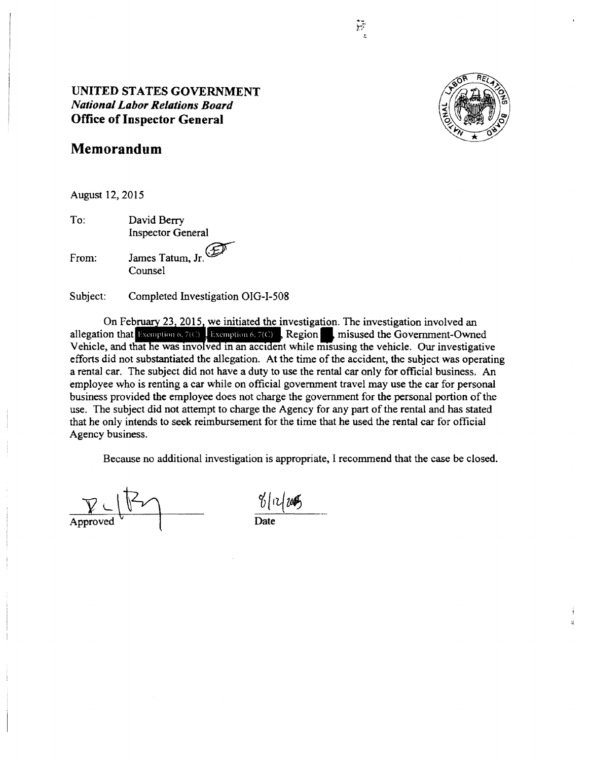

تبلغ

# **UNITED STATES GOVERNMENT**  *National Labor Relations Board*  **Office of Inspector General**

# **Memorandum**

August 12, 2015

To: David Berry Inspector General

From: James Tatum, Jr. Counsel

Subject: Completed Investigation OIG-I-508

23 2015 we initiated the investigation. The investigation involved an allegation that Exemption 6, 7(C) Exemption 6, 7(C) Region misused the Government-Owned Vehicle, and that he was involved in an accident while misusing the vehicle. Our investigative efforts did not substantiated the allegation. At the time of the accident, the subject was operating a rental car. The subject did not have a duty to use the rental car only for official business. An employee who is renting a car while on official government travel may use the car for personal business provided the employee does not charge the government for the personal portion of the use. The subject did not attempt to charge the Agency for any part of the rental and has stated that he only intends to seek reimbursement for the time that he used the rental car for official Agency business.

 $\frac{\mathcal{V} \cup \mathcal{V}}{\mathcal{V}}$  Approved  $\frac{\mathcal{V}(n)}{\mathcal{V}}$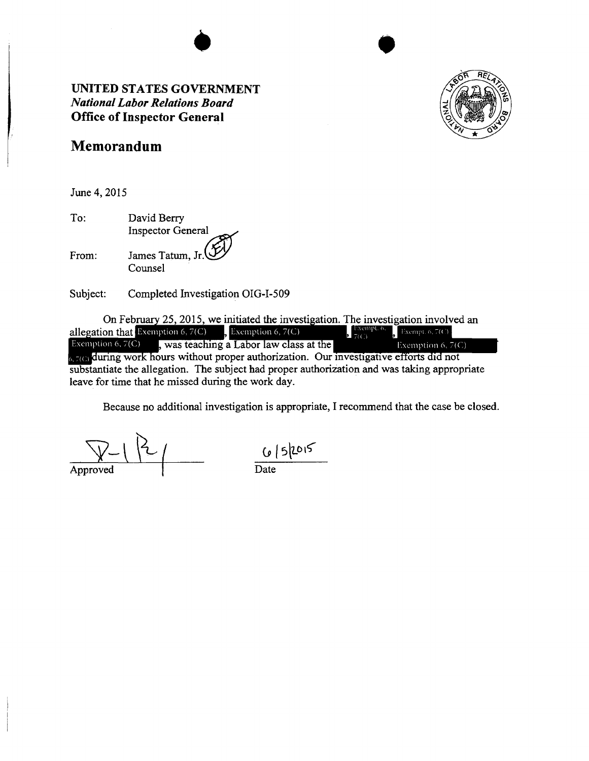

•

# **Memorandum**

June 4, 2015

To: From: David Berry Inspector General James Tatum, Jr.

Counsel

Subject: Completed Investigation OIG-I-509

On February 25, 2015, we initiated the investigation. The investigation involved an allegation that Exemption 6, 7(C) Exemption 6, 7(C) Exempt.  $6$ ,  $7(C)$  $\sum_{i=1}^{\infty}$  Exempt. 6, 7(C) Exemption 6, 7(C)  $\qquad$ , Exemption 6, 7(C) Exemption  $6, 7(C)$ , was teaching a Labor law class at the Exemption 6,  $7(C)$ a zo during work hours without proper authorization. Our investigative efforts did not egation. The subject had proper authorization and was taking approp leave for time that he missed during the work day.

Approved

 $6|5|2015$ <br>Date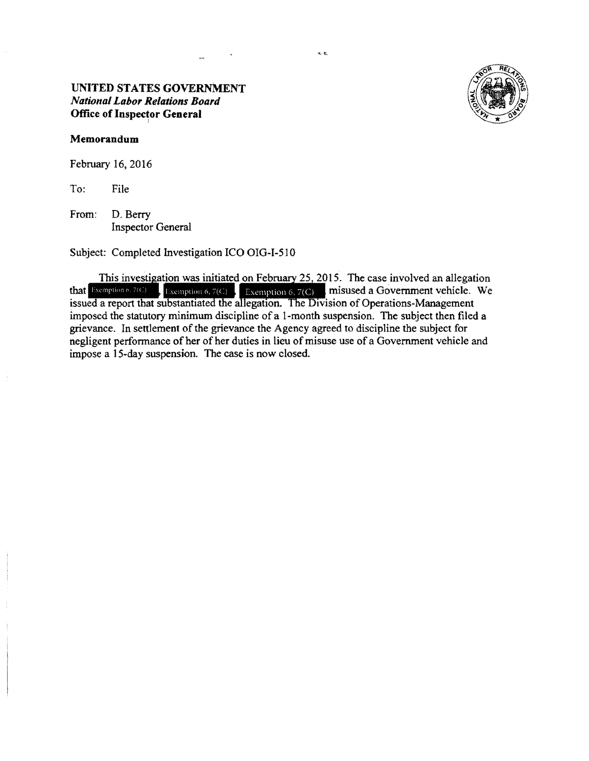#### **Memorandum**

February 16, 2016

To: File

From: D. Berry Inspector General

Subject: Completed Investigation ICO OIG-1-510

This investigation was initiated on February 25, 2015. The case involved an allegation that Exemption 6.7(C) Exemption 6.7(C) misused a Government vehicle. We  $\mathbf{F}$ : Exemption 6, 7(C)  $\mathbf{F}$  **Exemption 6, 7(C) misused a Government vehicle. We** issued a report that substantiated the allegation. The Division of Operations-Management imposed the statutory minimum discipline of a 1-month suspension. The subject then filed a grievance. In settlement of the grievance the Agency agreed to discipline the subject for negligent performance of her of her duties in lieu of misuse use of a Government vehicle and impose a 15-day suspension. The case is now closed.

 $\propto t$ 

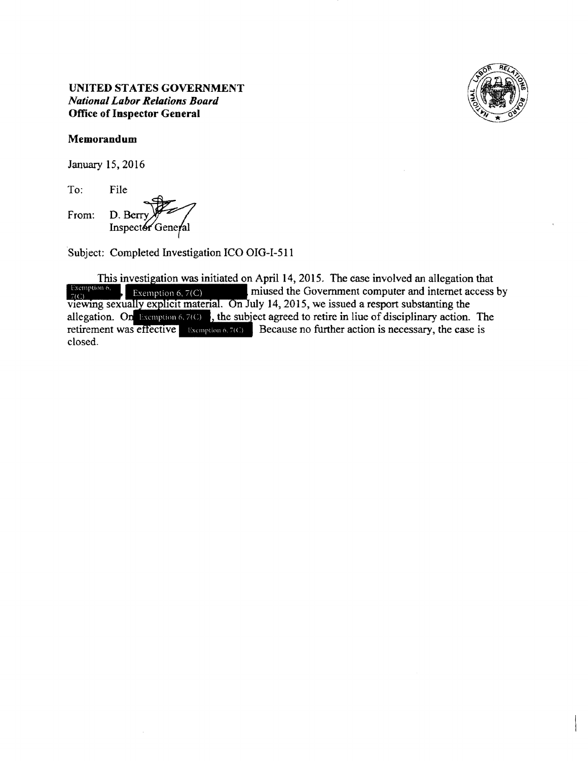

# Memorandum

January 15, 2016

To: File

From: D. Berry Inspector General

Subject: Completed Investigation ICO OIG-I-511

This investigation was initiated on April 14, 2015. The case involved an allegation that Exemption  $6$ ,  $7(C)$ Exemption 6,  $\pi$ (C) miused the Government computer and internet access by viewing sexually explicit material. On July 14, 2015, we issued a resport substanting the allegation. On Exemption 6, 7(C), the subject agreed to retire in liue of disciplinary action. The retirement was effective Exemption 6,7(C) Because no further action is necessary, the case is closed.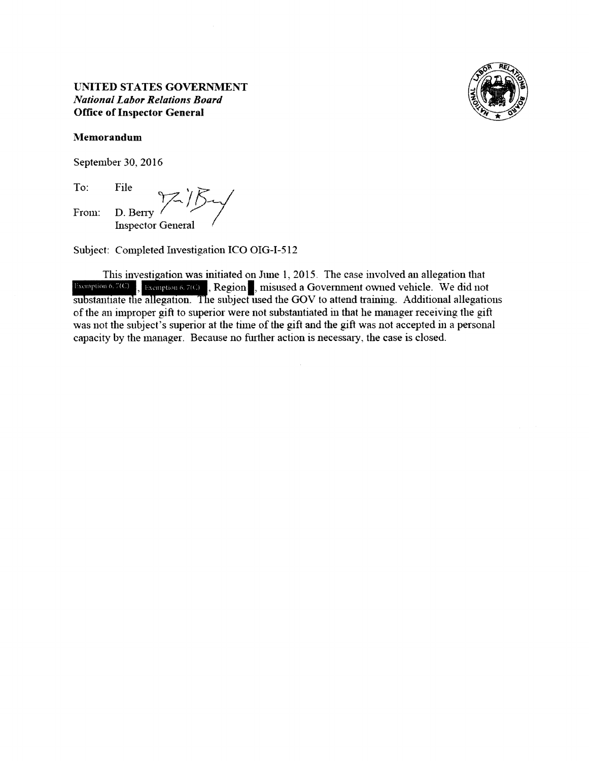

September 30, 2016

To: From: File  $\gamma Z'$ File<br>D. Berry 7 *i B*<br>Inspector General

Subject: Completed Investigation ICO OIG-1-512

This iuvesti ation was initiated on June 1, 2015. The case involved au allegation that **•1ififl&fi1i,** , Region **I,** misused a Government owned vehicle. We did not substantiate the allegation. The subject used the GOV to attend training. Additional allegations of the an improper gift to superior were not substantiated in that he manager receiving the gift was not the subject's superior at the time of the gift and the gift was not accepted in a personal capacity by the manager. Because no further action is necessary, the case is closed.

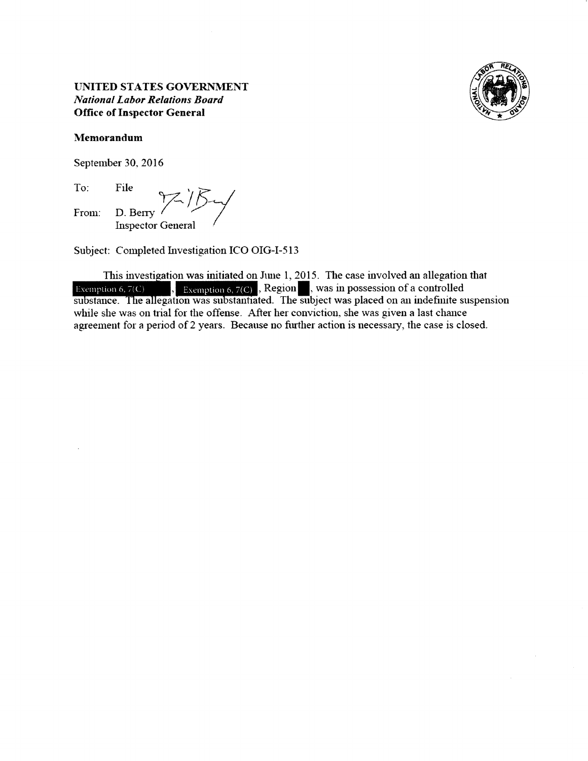

September 30, 2016

To: From: File **D.** Berry <sup>1</sup>/5 *-*

Subject: Completed Investigation ICO OIG-I-513

This investigation was initiated on June 1, 2015. The case involved an allegation that<br>Exemption 6,  $7(C)$ , Exemption 6,  $7(C)$ , Region, was in possession of a controlled<br>substance. The allegation was substantiated. The sub while she was on trial for the offense. After her conviction, she was given a last chance agreement for a period of 2 years. Because no further action is necessary, the case is closed.

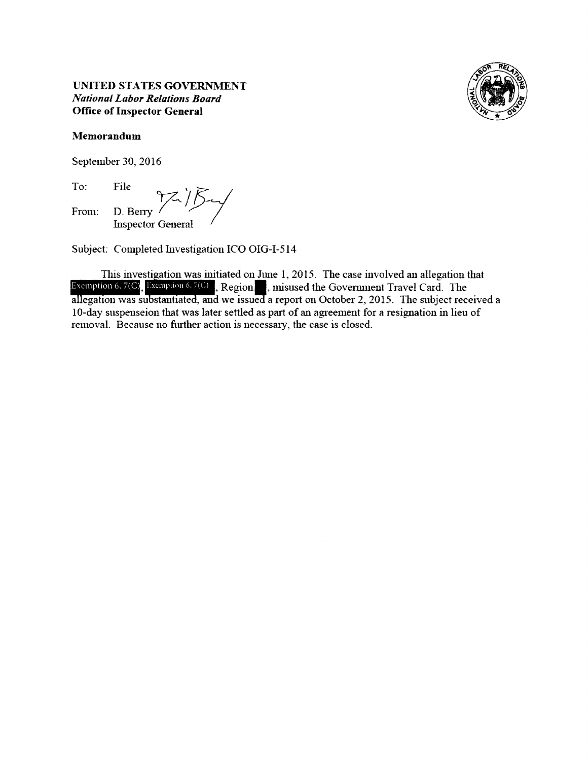

# **l\Iemorandum**

September 30, 2016

To: From: File \f 'f:: File<br>D. Berry<br>Inspector General

Subject: Completed Investigation ICO OIG-1-514

This investigation was initiated on June 1, 2015. The case involved an allegation that **Exemption 6,**  $7(C)$ **, Exemption 6,**  $7(C)$ **, Region , misused the Government Travel Card. The allegation was substantiated, and we issued a report on October 2, 2015. The subject received a** I 0-day suspenseion that was later settled as part of an agreement for a resignation in lieu of removal. Because no further action is necessary, the case is closed.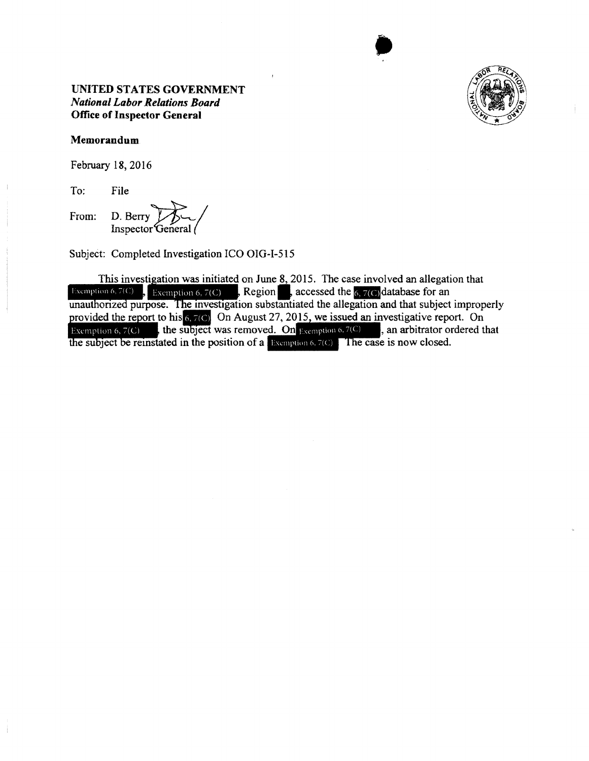

•

# **UNITED STATES GOVERNMENT**  *National Labor Relations Board*  **Office of Inspector General**

#### **Memorandum**

February 18, 2016

To: File

From: D. Berry

Subject: Completed lnvestigation ICO OIG-I-515

This investigation was initiated on June 8, 2015. The case involved an allegation that Exemption 6, 7(C)  $\int$ , Exemption 6, 7(C)  $\int$ , Region accessed the 6, 7(C) database for an unauthorized purpose. The investigation substantiated the allegation and that subject improperly provided the report to his 6,7(c) On August 27, 2015, we issued an investigative report. On Exemption 6,  $7(C)$ , the subject was removed. On Exemption 6,  $7(C)$ , an arbitrator ordered that the subject be reinstated in the position of a Exemption  $6, 7(C)$ . The case is now closed.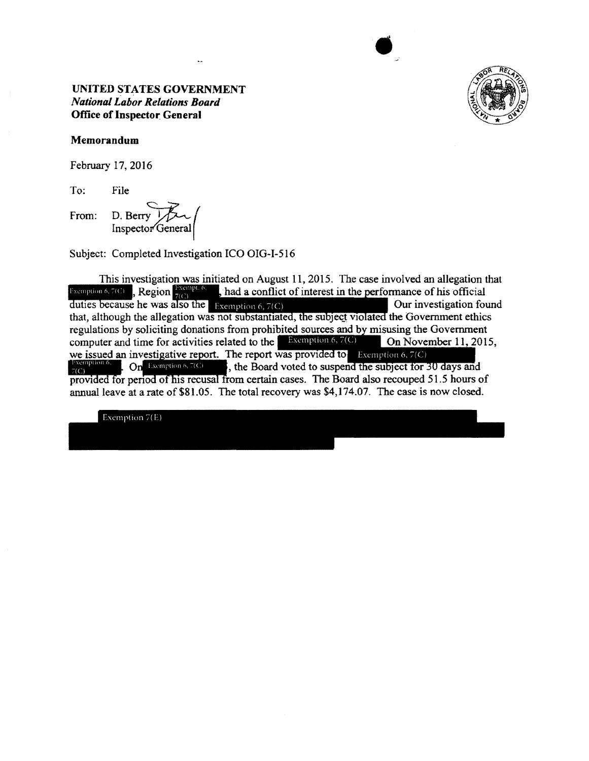

 $\bullet$ 

# **UNITED STATES GOVERNMENT**  *National Labor Relations Board*  **Office of Inspector General**

#### **Memorandum**

February 17, 2016

To: File

From: D. Berry 7

Subject: Completed Investigation ICO OIG-I-516

This investigation was initiated on August 11, 2015. The case involved an allegation that Exemption 6, 7(C) Region  $\frac{1}{2}$  Region  $\frac{1}{2}$  had a conflict of interest in the performance of his official duties because he was also the Exemption 6, 7(C) Our investigation found that, although the allegation was not substantiated, the subject violated the Government ethics regulations by soliciting donations from prohibited sources and by misusing the Government computer and time for activities related to the **Exemption 6, 7(C)** On November 11, 2015. we issued an investigative report. The report was provided to Exemption 6, 7(C)  $\mathbf{On}$  Exemption 6, 7(C) , the Board voted to suspend the subject for 30 days and provided for period of his recusal from certain cases. The Board also recouped 51.5 hours of annual leave at a rate of \$81.05. The total recovery was \$4,174.07. The case is now closed.

Exemption 7(E)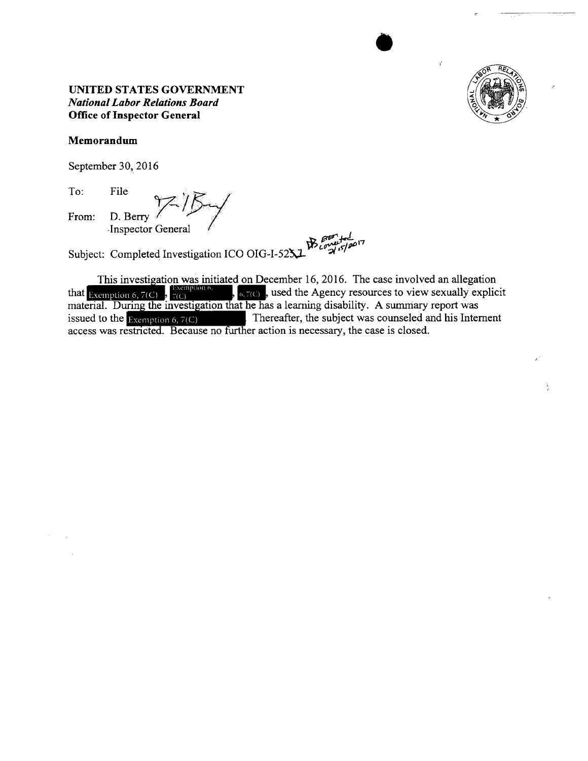

#### Memorandum

September 30, 2016

To: File From: D. Berry Inspector General

Subject: Completed Investigation ICO OIG-I-52X

This investigation was initiated on December 16, 2016. The case involved an allegation that Exemption 6, 7(C),  $\frac{1}{7(C)}$ ,  $\frac{1}{6}$ ,  $\frac{1}{7(C)}$ , used the Agency resources to view sexually explice material. During the inv  $\sqrt{\phantom{a}}$ , sused the Agency resources to view sexually explicit Thereafter, the subject was counseled and his Internent issued to the Exemption 6,  $7(C)$ access was restricted. Because no further action is necessary, the case is closed.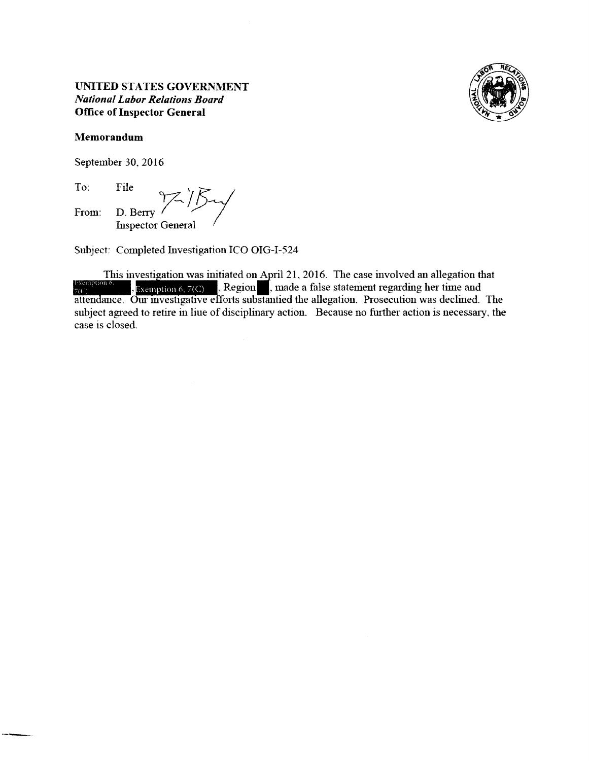

September 30, 2016

To: From: File ,, *'R:*  File  $\gamma$ <sup>/</sup>/ $\gamma$ <sup>/</sup>/ $\gamma$ Inspector General

Subject: Completed Investigation ICO OIG-I-524

This investigation was initiated on April 21, 2016. The case involved an allegation that Subject: Completed Investigation ICO OIG-I-524<br>
This investigation was initiated on April 21, 2016. The case involved an allegation that<br>  $\frac{1}{7}$ (c), Exemption 6, 7(C), Region, made a false statement regarding her time a subject agreed to retire in liue of disciplinary action. Because no further action is necessary, the case is closed.